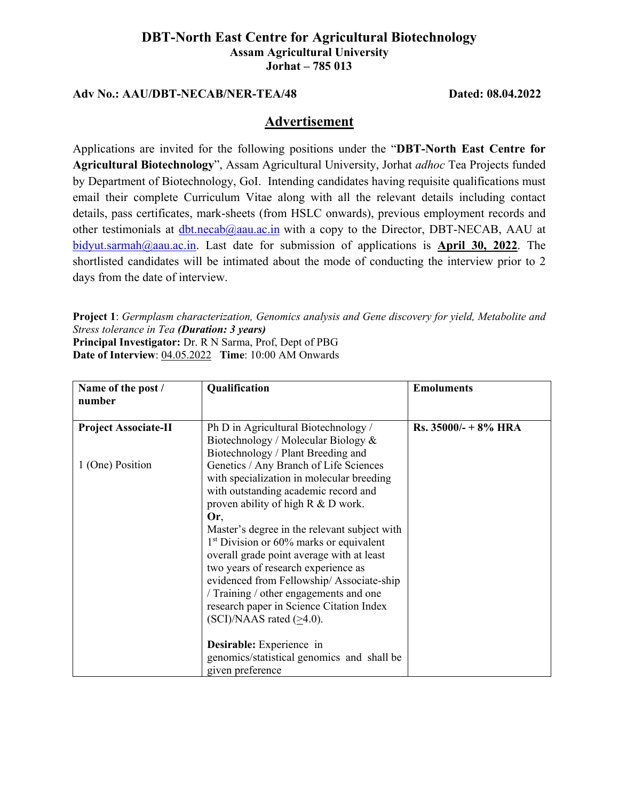## **DBT-North East Centre for Agricultural Biotechnology Assam Agricultural University Jorhat – 785 013**

## **Adv No.: AAU/DBT-NECAB/NER-TEA/48 Dated: 08.04.2022**

## **Advertisement**

Applications are invited for the following positions under the "**DBT-North East Centre for Agricultural Biotechnology**", Assam Agricultural University, Jorhat *adhoc* Tea Projects funded by Department of Biotechnology, GoI. Intending candidates having requisite qualifications must email their complete Curriculum Vitae along with all the relevant details including contact details, pass certificates, mark-sheets (from HSLC onwards), previous employment records and other testimonials at  $dbt.necab@aau.ac.in$  with a copy to the Director, DBT-NECAB, AAU at [bidyut.sarmah@aau.ac.in.](mailto:bidyut.sarmah@aau.ac.in) Last date for submission of applications is **April 30, 2022**. The shortlisted candidates will be intimated about the mode of conducting the interview prior to 2 days from the date of interview.

**Project 1**: *Germplasm characterization, Genomics analysis and Gene discovery for yield, Metabolite and Stress tolerance in Tea (Duration: 3 years)* **Principal Investigator:** Dr. R N Sarma, Prof, Dept of PBG **Date of Interview**: 04.05.2022 **Time**: 10:00 AM Onwards

| Name of the post /<br>number                    | Qualification                                                                                                                                                                                                                                                                                                                                                                                                                                                                                                                                                                                                    | <b>Emoluments</b>       |
|-------------------------------------------------|------------------------------------------------------------------------------------------------------------------------------------------------------------------------------------------------------------------------------------------------------------------------------------------------------------------------------------------------------------------------------------------------------------------------------------------------------------------------------------------------------------------------------------------------------------------------------------------------------------------|-------------------------|
| <b>Project Associate-II</b><br>1 (One) Position | Ph D in Agricultural Biotechnology /<br>Biotechnology / Molecular Biology &<br>Biotechnology / Plant Breeding and<br>Genetics / Any Branch of Life Sciences<br>with specialization in molecular breeding<br>with outstanding academic record and<br>proven ability of high R & D work.<br>Or.<br>Master's degree in the relevant subject with<br>$1st$ Division or 60% marks or equivalent<br>overall grade point average with at least<br>two years of research experience as<br>evidenced from Fellowship/Associate-ship<br>/ Training / other engagements and one<br>research paper in Science Citation Index | $Rs. 35000/- + 8\% HRA$ |
|                                                 | $(SCI)/NAAS$ rated $(>4.0)$ .<br>Desirable: Experience in<br>genomics/statistical genomics and shall be<br>given preference                                                                                                                                                                                                                                                                                                                                                                                                                                                                                      |                         |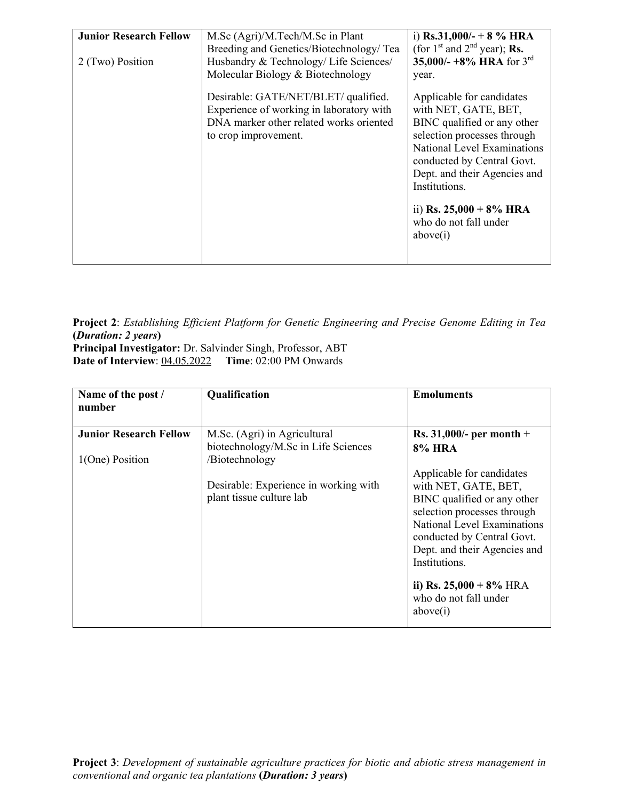| <b>Junior Research Fellow</b><br>2 (Two) Position | M.Sc (Agri)/M.Tech/M.Sc in Plant<br>Breeding and Genetics/Biotechnology/ Tea<br>Husbandry & Technology/ Life Sciences/<br>Molecular Biology & Biotechnology | i) Rs.31,000/- + 8 % HRA<br>(for $1st$ and $2nd$ year); <b>Rs.</b><br>35,000/- +8% HRA for $3^{\text{rd}}$<br>year.                                                                                                                                                                              |
|---------------------------------------------------|-------------------------------------------------------------------------------------------------------------------------------------------------------------|--------------------------------------------------------------------------------------------------------------------------------------------------------------------------------------------------------------------------------------------------------------------------------------------------|
|                                                   | Desirable: GATE/NET/BLET/ qualified.<br>Experience of working in laboratory with<br>DNA marker other related works oriented<br>to crop improvement.         | Applicable for candidates<br>with NET, GATE, BET,<br>BINC qualified or any other<br>selection processes through<br>National Level Examinations<br>conducted by Central Govt.<br>Dept. and their Agencies and<br>Institutions.<br>ii) Rs. $25,000 + 8\%$ HRA<br>who do not fall under<br>above(i) |

**Project 2**: *Establishing Efficient Platform for Genetic Engineering and Precise Genome Editing in Tea* **(***Duration: 2 years***)** 

**Principal Investigator:** Dr. Salvinder Singh, Professor, ABT **Date of Interview**: 04.05.2022 **Time**: 02:00 PM Onwards

| Name of the post /<br>number                     | Qualification                                                                         | <b>Emoluments</b>                                                                                                                                                                                                                                                                                |
|--------------------------------------------------|---------------------------------------------------------------------------------------|--------------------------------------------------------------------------------------------------------------------------------------------------------------------------------------------------------------------------------------------------------------------------------------------------|
| <b>Junior Research Fellow</b><br>1(One) Position | M.Sc. (Agri) in Agricultural<br>biotechnology/M.Sc in Life Sciences<br>/Biotechnology | <b>Rs.</b> 31,000/- per month +<br><b>8% HRA</b>                                                                                                                                                                                                                                                 |
|                                                  | Desirable: Experience in working with<br>plant tissue culture lab                     | Applicable for candidates<br>with NET, GATE, BET,<br>BINC qualified or any other<br>selection processes through<br>National Level Examinations<br>conducted by Central Govt.<br>Dept. and their Agencies and<br>Institutions.<br>ii) Rs. $25,000 + 8\%$ HRA<br>who do not fall under<br>above(i) |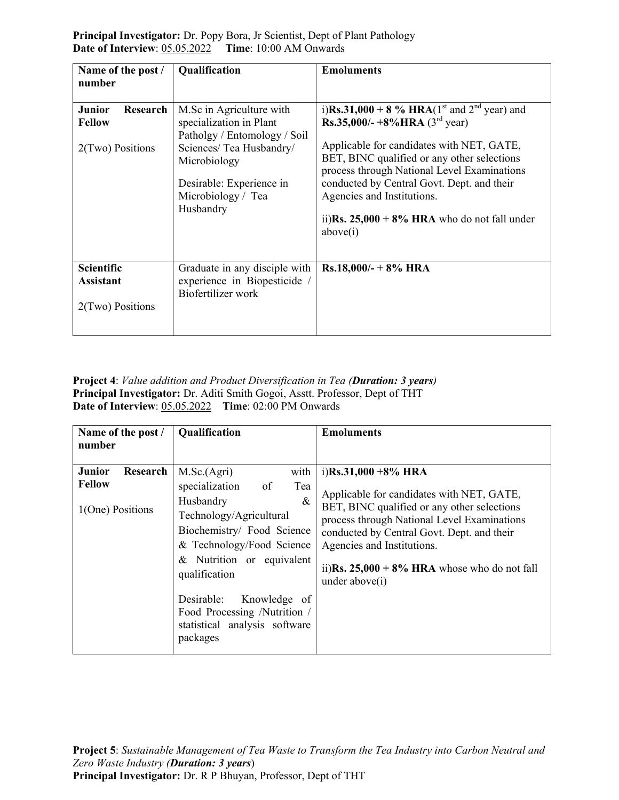**Principal Investigator:** Dr. Popy Bora, Jr Scientist, Dept of Plant Pathology **Date of Interview**: 05.05.2022 **Time**: 10:00 AM Onwards

| Name of the post /<br>number                                   | Qualification                                                                                                                                                                                  | <b>Emoluments</b>                                                                                                                                                                                                                                                                                                                                                                                                        |
|----------------------------------------------------------------|------------------------------------------------------------------------------------------------------------------------------------------------------------------------------------------------|--------------------------------------------------------------------------------------------------------------------------------------------------------------------------------------------------------------------------------------------------------------------------------------------------------------------------------------------------------------------------------------------------------------------------|
| <b>Junior</b><br>Research<br><b>Fellow</b><br>2(Two) Positions | M.Sc in Agriculture with<br>specialization in Plant<br>Patholgy / Entomology / Soil<br>Sciences/ Tea Husbandry/<br>Microbiology<br>Desirable: Experience in<br>Microbiology / Tea<br>Husbandry | i)Rs.31,000 + 8 % HRA(1 <sup>st</sup> and 2 <sup>nd</sup> year) and<br><b>Rs.35,000/- +8% HRA</b> ( $3^{\text{rd}}$ year)<br>Applicable for candidates with NET, GATE,<br>BET, BINC qualified or any other selections<br>process through National Level Examinations<br>conducted by Central Govt. Dept. and their<br>Agencies and Institutions.<br>ii) $\text{Rs. } 25,000 + 8\%$ HRA who do not fall under<br>above(i) |
| Scientific<br><b>Assistant</b><br>2(Two) Positions             | Graduate in any disciple with<br>experience in Biopesticide /<br>Biofertilizer work                                                                                                            | $Rs.18,000/- + 8\%$ HRA                                                                                                                                                                                                                                                                                                                                                                                                  |

**Project 4**: *Value addition and Product Diversification in Tea (Duration: 3 years)*  **Principal Investigator:** Dr. Aditi Smith Gogoi, Asstt. Professor, Dept of THT **Date of Interview**: 05.05.2022 **Time**: 02:00 PM Onwards

| Name of the post /<br>number                                   | <b>Qualification</b>                                                                                                                                                                                                                                                                                                           | <b>Emoluments</b>                                                                                                                                                                                                                                                                                                 |
|----------------------------------------------------------------|--------------------------------------------------------------------------------------------------------------------------------------------------------------------------------------------------------------------------------------------------------------------------------------------------------------------------------|-------------------------------------------------------------------------------------------------------------------------------------------------------------------------------------------------------------------------------------------------------------------------------------------------------------------|
| <b>Junior</b><br>Research<br><b>Fellow</b><br>1(One) Positions | M.Sc.(Agri)<br>with<br>specialization<br>$\circ$ of<br>Tea<br>$\&$<br>Husbandry<br>Technology/Agricultural<br>Biochemistry/ Food Science<br>& Technology/Food Science<br>& Nutrition or equivalent<br>qualification<br>Desirable:<br>Knowledge of<br>Food Processing /Nutrition /<br>statistical analysis software<br>packages | i)Rs.31,000 +8% HRA<br>Applicable for candidates with NET, GATE,<br>BET, BINC qualified or any other selections<br>process through National Level Examinations<br>conducted by Central Govt. Dept. and their<br>Agencies and Institutions.<br>ii)Rs. $25,000 + 8\%$ HRA whose who do not fall<br>under $above(i)$ |

**Project 5**: *Sustainable Management of Tea Waste to Transform the Tea Industry into Carbon Neutral and Zero Waste Industry (Duration: 3 years*) **Principal Investigator:** Dr. R P Bhuyan, Professor, Dept of THT